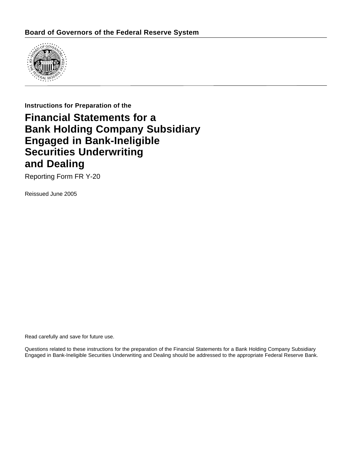

## **Instructions for Preparation of the**

# **Financial Statements for a Bank Holding Company Subsidiary Engaged in Bank-Ineligible Securities Underwriting and Dealing**

Reporting Form FR Y-20

Reissued June 2005

Read carefully and save for future use.

Questions related to these instructions for the preparation of the Financial Statements for a Bank Holding Company Subsidiary Engaged in Bank-Ineligible Securities Underwriting and Dealing should be addressed to the appropriate Federal Reserve Bank.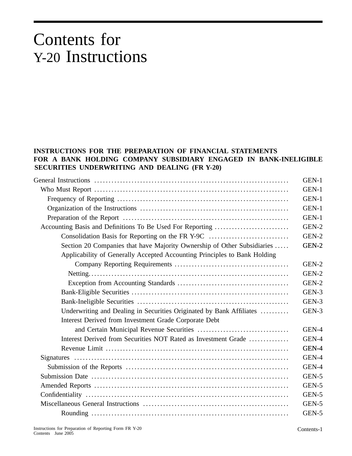# Contents for Y-20 Instructions

## **INSTRUCTIONS FOR THE PREPARATION OF FINANCIAL STATEMENTS FOR A BANK HOLDING COMPANY SUBSIDIARY ENGAGED IN BANK-INELIGIBLE SECURITIES UNDERWRITING AND DEALING (FR Y-20)**

|                                                                           | GEN-1 |
|---------------------------------------------------------------------------|-------|
|                                                                           | GEN-1 |
|                                                                           | GEN-1 |
|                                                                           | GEN-1 |
|                                                                           | GEN-1 |
|                                                                           | GEN-2 |
| Consolidation Basis for Reporting on the FR Y-9C                          | GEN-2 |
| Section 20 Companies that have Majority Ownership of Other Subsidiaries   | GEN-2 |
| Applicability of Generally Accepted Accounting Principles to Bank Holding |       |
|                                                                           | GEN-2 |
|                                                                           | GEN-2 |
|                                                                           | GEN-2 |
|                                                                           | GEN-3 |
|                                                                           | GEN-3 |
| Underwriting and Dealing in Securities Originated by Bank Affiliates      | GEN-3 |
| Interest Derived from Investment Grade Corporate Debt                     |       |
|                                                                           | GEN-4 |
| Interest Derived from Securities NOT Rated as Investment Grade            | GEN-4 |
|                                                                           | GEN-4 |
|                                                                           | GEN-4 |
|                                                                           | GEN-4 |
|                                                                           | GEN-5 |
|                                                                           | GEN-5 |
|                                                                           | GEN-5 |
|                                                                           | GEN-5 |
|                                                                           | GEN-5 |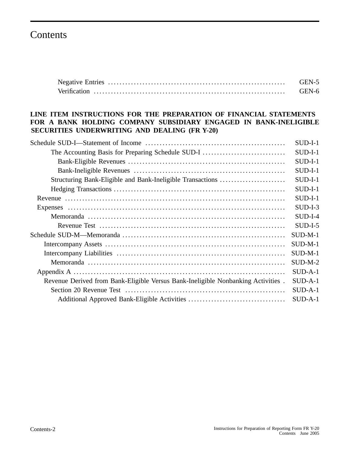# Contents

| GEN-5 |
|-------|
| GEN-6 |

## **LINE ITEM INSTRUCTIONS FOR THE PREPARATION OF FINANCIAL STATEMENTS FOR A BANK HOLDING COMPANY SUBSIDIARY ENGAGED IN BANK-INELIGIBLE SECURITIES UNDERWRITING AND DEALING (FR Y-20)**

|                                                                                  | $SUB-I-1$ |
|----------------------------------------------------------------------------------|-----------|
| The Accounting Basis for Preparing Schedule SUD-I                                | $SUB-I-1$ |
|                                                                                  | $SUB-I-1$ |
|                                                                                  | $SUB-I-1$ |
| Structuring Bank-Eligible and Bank-Ineligible Transactions                       | $SUB-I-1$ |
|                                                                                  | $SUB-I-1$ |
|                                                                                  | $SUB-I-1$ |
|                                                                                  | $SUB-I-3$ |
|                                                                                  | $SUD-I-4$ |
|                                                                                  | $SUB-I-5$ |
|                                                                                  | $SUB-M-1$ |
|                                                                                  | $SUB-M-1$ |
|                                                                                  | $SUD-M-1$ |
|                                                                                  | $SUD-M-2$ |
|                                                                                  | $SUB-A-1$ |
| Revenue Derived from Bank-Eligible Versus Bank-Ineligible Nonbanking Activities. | $SUB-A-1$ |
|                                                                                  | $SUB-A-1$ |
|                                                                                  | $SUB-A-1$ |
|                                                                                  |           |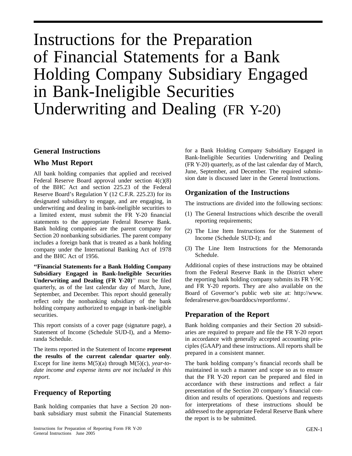# Instructions for the Preparation of Financial Statements for a Bank Holding Company Subsidiary Engaged in Bank-Ineligible Securities Underwriting and Dealing (FR Y-20)

### **General Instructions**

### **Who Must Report**

All bank holding companies that applied and received Federal Reserve Board approval under section 4(c)(8) of the BHC Act and section 225.23 of the Federal Reserve Board's Regulation Y (12 C.F.R. 225.23) for its designated subsidiary to engage, and are engaging, in underwriting and dealing in bank-ineligible securities to a limited extent, must submit the FR Y-20 financial statements to the appropriate Federal Reserve Bank. Bank holding companies are the parent company for Section 20 nonbanking subsidiaries. The parent company includes a foreign bank that is treated as a bank holding company under the International Banking Act of 1978 and the BHC Act of 1956.

**''Financial Statements for a Bank Holding Company Subsidiary Engaged in Bank-Ineligible Securities Underwriting and Dealing (FR Y-20)**'' must be filed quarterly, as of the last calendar day of March, June, September, and December. This report should generally reflect only the nonbanking subsidiary of the bank holding company authorized to engage in bank-ineligible securities.

This report consists of a cover page (signature page), a Statement of Income (Schedule SUD-I), and a Memoranda Schedule.

The items reported in the Statement of Income **represent the results of the current calendar quarter only**. Except for line items M(5)(a) through M(5)(c), *year-todate income and expense items are not included in this report.*

## **Frequency of Reporting**

Bank holding companies that have a Section 20 nonbank subsidiary must submit the Financial Statements for a Bank Holding Company Subsidiary Engaged in Bank-Ineligible Securities Underwriting and Dealing (FR Y-20) quarterly, as of the last calendar day of March, June, September, and December. The required submission date is discussed later in the General Instructions.

### **Organization of the Instructions**

The instructions are divided into the following sections:

- (1) The General Instructions which describe the overall reporting requirements;
- (2) The Line Item Instructions for the Statement of Income (Schedule SUD-I); and
- (3) The Line Item Instructions for the Memoranda Schedule.

Additional copies of these instructions may be obtained from the Federal Reserve Bank in the District where the reporting bank holding company submits its FR Y-9C and FR Y-20 reports. They are also available on the Board of Governor's public web site at: http://www. federalreserve.gov/boarddocs/reportforms/.

# **Preparation of the Report**

Bank holding companies and their Section 20 subsidiaries are required to prepare and file the FR Y-20 report in accordance with generally accepted accounting principles (GAAP) and these instructions. All reports shall be prepared in a consistent manner.

The bank holding company's financial records shall be maintained in such a manner and scope so as to ensure that the FR Y-20 report can be prepared and filed in accordance with these instructions and reflect a fair presentation of the Section 20 company's financial condition and results of operations. Questions and requests for interpretations of these instructions should be addressed to the appropriate Federal Reserve Bank where the report is to be submitted.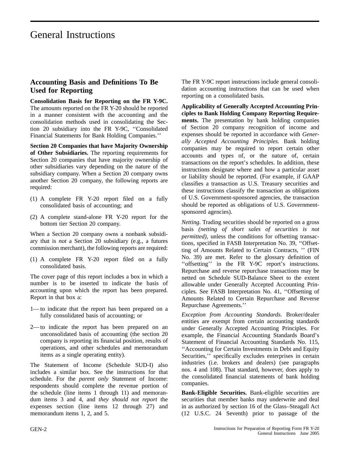## **Accounting Basis and Definitions To Be Used for Reporting**

**Consolidation Basis for Reporting on the FR Y-9C.** The amounts reported on the FR Y-20 should be reported in a manner consistent with the accounting and the consolidation methods used in consolidating the Section 20 subsidiary into the FR Y-9C, ''Consolidated Financial Statements for Bank Holding Companies.''

**Section 20 Companies that have Majority Ownership of Other Subsidiaries.** The reporting requirements for Section 20 companies that have majority ownership of other subsidiaries vary depending on the nature of the subsidiary company. When a Section 20 company owns another Section 20 company, the following reports are required:

- (1) A complete FR Y-20 report filed on a fully consolidated basis of accounting; and
- (2) A complete stand-alone FR Y-20 report for the bottom tier Section 20 company.

When a Section 20 company owns a nonbank subsidiary that is *not* a Section 20 subsidiary (e.g., a futures commission merchant), the following reports are required:

(1) A complete FR Y-20 report filed on a fully consolidated basis.

The cover page of this report includes a box in which a number is to be inserted to indicate the basis of accounting upon which the report has been prepared. Report in that box a:

- 1—to indicate that the report has been prepared on a fully consolidated basis of accounting; or
- 2—to indicate the report has been prepared on an unconsolidated basis of accounting (the section 20 company is reporting its financial position, results of operations, and other schedules and memorandum items as a single operating entity).

The Statement of Income (Schedule SUD-I) also includes a similar box. See the instructions for that schedule. For the *parent only* Statement of Income: respondents should complete the revenue portion of the schedule (line items 1 through 11) and memorandum items 3 and 4, and *they should not report* the expenses section (line items 12 through 27) and memorandum items 1, 2, and 5.

The FR Y-9C report instructions include general consolidation accounting instructions that can be used when reporting on a consolidated basis.

**Applicability of Generally Accepted Accounting Principles to Bank Holding Company Reporting Requirements.** The presentation by bank holding companies of Section 20 company recognition of income and expenses should be reported in accordance with *Generally Accepted Accounting Principles.* Bank holding companies may be required to report certain other accounts and types of, or the nature of, certain transactions on the report's schedules. In addition, these instructions designate where and how a particular asset or liability should be reported. (For example, if GAAP classifies a transaction as U.S. Treasury securities and these instructions classify the transaction as obligations of U.S. Government-sponsored agencies, the transaction should be reported as obligations of U.S. Governmentsponsored agencies).

*Netting.* Trading securities should be reported on a gross basis *(netting of short sales of securities is not permitted*), unless the conditions for offsetting transactions, specified in FASB Interpretation No. 39, ''Offsetting of Amounts Related to Certain Contracts, '' (FIN No. 39) are met. Refer to the glossary definition of "offsetting" in the FR Y-9C report's instructions. Repurchase and reverse repurchase transactions may be netted on Schedule SUD-Balance Sheet to the extent allowable under Generally Accepted Accounting Principles. See FASB Interpretation No. 41, ''Offsetting of Amounts Related to Certain Repurchase and Reverse Repurchase Agreements.''

*Exception from Accounting Standards.* Broker/dealer entities are exempt from certain accounting standards under Generally Accepted Accounting Principles. For example, the Financial Accounting Standards Board's Statement of Financial Accounting Standards No. 115, ''Accounting for Certain Investments in Debt and Equity Securities,'' specifically excludes enterprises in certain industries (i.e. brokers and dealers) (see paragraphs nos. 4 and 108). That standard, however, does apply to the consolidated financial statements of bank holding companies.

**Bank-Eligible Securities.** Bank-eligible securities are securities that member banks may underwrite and deal in as authorized by section 16 of the Glass–Steagall Act (12 U.S.C. 24 Seventh) prior to passage of the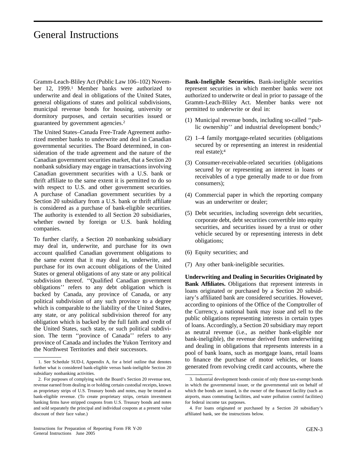Gramm-Leach-Bliley Act (Public Law 106–102) November 12, 1999.1 Member banks were authorized to underwrite and deal in obligations of the United States, general obligations of states and political subdivisions, municipal revenue bonds for housing, university or dormitory purposes, and certain securities issued or guaranteed by government agencies.2

The United States–Canada Free-Trade Agreement authorized member banks to underwrite and deal in Canadian governmental securities. The Board determined, in consideration of the trade agreement and the nature of the Canadian government securities market, that a Section 20 nonbank subsidiary may engage in transactions involving Canadian government securities with a U.S. bank or thrift affiliate to the same extent it is permitted to do so with respect to U.S. and other government securities. A purchase of Canadian government securities by a Section 20 subsidiary from a U.S. bank or thrift affiliate is considered as a purchase of bank-eligible securities. The authority is extended to all Section 20 subsidiaries, whether owned by foreign or U.S. bank holding companies.

To further clarify, a Section 20 nonbanking subsidiary may deal in, underwrite, and purchase for its own account qualified Canadian government obligations to the same extent that it may deal in, underwrite, and purchase for its own account obligations of the United States or general obligations of any state or any political subdivision thereof. ''Qualified Canadian government obligations'' refers to any debt obligation which is backed by Canada, any province of Canada, or any political subdivision of any such province to a degree which is comparable to the liability of the United States, any state, or any political subdivision thereof for any obligation which is backed by the full faith and credit of the United States, such state, or such political subdivision. The term ''province of Canada'' refers to any province of Canada and includes the Yukon Territory and the Northwest Territories and their successors.

**Bank-Ineligible Securities.** Bank-ineligible securities represent securities in which member banks were not authorized to underwrite or deal in prior to passage of the Gramm-Leach-Bliley Act. Member banks were not permitted to underwrite or deal in:

- (1) Municipal revenue bonds, including so-called ''public ownership'' and industrial development bonds;<sup>3</sup>
- (2) 1–4 family mortgage-related securities (obligations secured by or representing an interest in residential real estate);4
- (3) Consumer-receivable-related securities (obligations secured by or representing an interest in loans or receivables of a type generally made to or due from consumers);
- (4) Commercial paper in which the reporting company was an underwriter or dealer;
- (5) Debt securities, including sovereign debt securities, corporate debt, debt securities convertible into equity securities, and securities issued by a trust or other vehicle secured by or representing interests in debt obligations;
- (6) Equity securities; and
- (7) Any other bank-ineligible securities.

**Underwriting and Dealing in Securities Originated by Bank Affiliates.** Obligations that represent interests in loans originated or purchased by a Section 20 subsidiary's affiliated bank are considered securities. However, according to opinions of the Office of the Comptroller of the Currency, a national bank may issue and sell to the public obligations representing interests in certain types of loans. Accordingly, a Section 20 subsidiary may report as neutral revenue (i.e., as neither bank-eligible nor bank-ineligible), the revenue derived from underwriting and dealing in obligations that represents interests in a pool of bank loans, such as mortgage loans, retail loans to finance the purchase of motor vehicles, or loans 1. See Schedule SUD-I, Appendix A, for a brief outline that denotes the 1. See Schedule SUD-I, Appendix A, for a brief outline that denotes the 1. See Schedule SuD-I, Appendix A, for a brief outline that denotes the genera

further what is considered bank-eligible versus bank-ineligible Section 20 subsidiary nonbanking activities.

<sup>2.</sup> For purposes of complying with the Board's Section 20 revenue test, revenue earned from dealing in or holding certain custodial receipts, known as proprietary strips of U.S. Treasury bonds and notes, may be treated as bank-eligible revenue. (To create proprietary strips, certain investment banking firms have stripped coupons from U.S. Treasury bonds and notes and sold separately the principal and individual coupons at a present value discount of their face value.)

<sup>3.</sup> Industrial development bonds consist of only those tax-exempt bonds in which the governmental issuer, or the governmental unit on behalf of which the bonds are issued, is the owner of the financed facility (such as airports, mass commuting facilities, and water pollution control facilities) for federal income tax purposes.

<sup>4.</sup> For loans originated or purchased by a Section 20 subsidiary's affiliated bank, see the instructions below.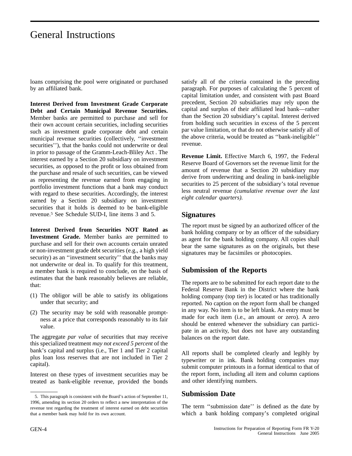loans comprising the pool were originated or purchased by an affiliated bank.

**Interest Derived from Investment Grade Corporate Debt and Certain Municipal Revenue Securities.** Member banks are permitted to purchase and sell for their own account certain securities, including securities such as investment grade corporate debt and certain municipal revenue securities (collectively, ''investment securities''), that the banks could not underwrite or deal in prior to passage of the Gramm-Leach-Bliley Act . The interest earned by a Section 20 subsidiary on investment securities, as opposed to the profit or loss obtained from the purchase and resale of such securities, can be viewed as representing the revenue earned from engaging in portfolio investment functions that a bank may conduct with regard to these securities. Accordingly, the interest earned by a Section 20 subsidiary on investment securities that it holds is deemed to be bank-eligible revenue.5 See Schedule SUD-I, line items 3 and 5.

**Interest Derived from Securities NOT Rated as Investment Grade.** Member banks are permitted to purchase and sell for their own accounts certain unrated or non-investment grade debt securities (e.g., a high yield security) as an "investment security" that the banks may not underwrite or deal in. To qualify for this treatment, a member bank is required to conclude, on the basis of estimates that the bank reasonably believes are reliable, that:

- (1) The obligor will be able to satisfy its obligations under that security; and
- (2) The security may be sold with reasonable promptness at a price that corresponds reasonably to its fair value.

The aggregate *par value* of securities that may receive this specialized treatment *may not exceed 5 percent* of the bank's capital and surplus (i.e., Tier 1 and Tier 2 capital plus loan loss reserves that are not included in Tier 2 capital).

Interest on these types of investment securities may be treated as bank-eligible revenue, provided the bonds satisfy all of the criteria contained in the preceding paragraph. For purposes of calculating the 5 percent of capital limitation under, and consistent with past Board precedent, Section 20 subsidiaries may rely upon the capital and surplus of their affiliated lead bank—rather than the Section 20 subsidiary's capital. Interest derived from holding such securities in excess of the 5 percent par value limitation, or that do not otherwise satisfy all of the above criteria, would be treated as ''bank-ineligible'' revenue.

**Revenue Limit.** Effective March 6, 1997, the Federal Reserve Board of Governors set the revenue limit for the amount of revenue that a Section 20 subsidiary may derive from underwriting and dealing in bank-ineligible securities to 25 percent of the subsidiary's total revenue less neutral revenue *(cumulative revenue over the last eight calendar quarters).*

### **Signatures**

The report must be signed by an authorized officer of the bank holding company or by an officer of the subsidiary as agent for the bank holding company. All copies shall bear the same signatures as on the originals, but these signatures may be facsimiles or photocopies.

## **Submission of the Reports**

The reports are to be submitted for each report date to the Federal Reserve Bank in the District where the bank holding company (top tier) is located or has traditionally reported. No caption on the report form shall be changed in any way. No item is to be left blank. An entry must be made for each item (i.e., an amount or zero). A zero should be entered whenever the subsidiary can participate in an activity, but does not have any outstanding balances on the report date.

All reports shall be completed clearly and legibly by typewriter or in ink. Bank holding companies may submit computer printouts in a format identical to that of the report form, including all item and column captions and other identifying numbers.

## **Submission Date**

The term ''submission date'' is defined as the date by which a bank holding company's completed original

<sup>5.</sup> This paragraph is consistent with the Board's action of September 11, 1996, amending its section 20 orders to reflect a new interpretation of the revenue test regarding the treatment of interest earned on debt securities that a member bank may hold for its own account.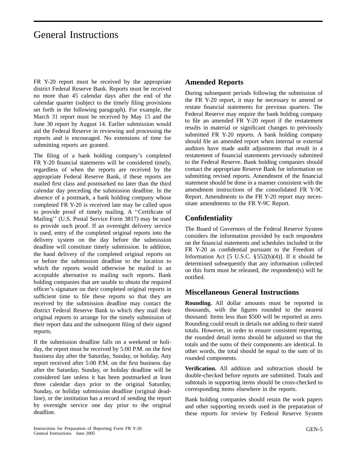FR Y-20 report must be received by the appropriate district Federal Reserve Bank. Reports must be received no more than 45 calendar days after the end of the calendar quarter (subject to the timely filing provisions set forth in the following paragraph). For example, the March 31 report must be received by May 15 and the June 30 report by August 14. Earlier submission would aid the Federal Reserve in reviewing and processing the reports and is encouraged. No extensions of time for submitting reports are granted.

The filing of a bank holding company's completed FR Y-20 financial statements will be considered timely, regardless of when the reports are received by the appropriate Federal Reserve Bank, if these reports are mailed first class and postmarked no later than the third calendar day preceding the submission deadline. In the absence of a postmark, a bank holding company whose completed FR Y-20 is received late may be called upon to provide proof of timely mailing. A ''Certificate of Mailing'' (U.S. Postal Service Form 3817) may be used to provide such proof. If an overnight delivery service is used, entry of the completed original reports into the delivery system on the day before the submission deadline will constitute timely submission. In addition, the hand delivery of the completed original reports on or before the submission deadline to the location to which the reports would otherwise be mailed is an acceptable alternative to mailing such reports. Bank holding companies that are unable to obtain the required officer's signature on their completed original reports in sufficient time to file these reports so that they are received by the submission deadline may contact the district Federal Reserve Bank to which they mail their original reports to arrange for the timely submission of their report data and the subsequent filing of their signed reports.

If the submission deadline falls on a weekend or holiday, the report must be received by 5:00 P.M. on the first business day after the Saturday, Sunday, or holiday. Any report received after 5:00 P.M. on the first business day after the Saturday, Sunday, or holiday deadline will be considered late unless it has been postmarked at least three calendar days prior to the original Saturday, Sunday, or holiday submission deadline (original deadline), or the institution has a record of sending the report by overnight service one day prior to the original deadline.

### **Amended Reports**

During subsequent periods following the submission of the FR Y-20 report, it may be necessary to amend or restate financial statements for previous quarters. The Federal Reserve may require the bank holding company to file an amended FR Y-20 report if the restatement results in material or significant changes to previously submitted FR Y-20 reports. A bank holding company should file an amended report when internal or external auditors have made audit adjustments that result in a restatement of financial statements previously submitted to the Federal Reserve. Bank holding companies should contact the appropriate Reserve Bank for information on submitting revised reports. Amendment of the financial statement should be done in a manner consistent with the amendment instructions of the consolidated FR Y-9C Report. Amendments to the FR Y-20 report may necessitate amendments to the FR Y-9C Report.

## **Confidentiality**

The Board of Governors of the Federal Reserve System considers the information provided by each respondent on the financial statements and schedules included in the FR Y-20 as confidential pursuant to the Freedom of Information Act  $[5 \text{ U.S.C. } § 552(b)(4)]$ . If it should be determined subsequently that any information collected on this form must be released, the respondent(s) will be notified.

### **Miscellaneous General Instructions**

**Rounding.** All dollar amounts must be reported in thousands, with the figures rounded to the nearest thousand. Items less than \$500 will be reported as zero. Rounding could result in details not adding to their stated totals. However, in order to ensure consistent reporting, the rounded detail items should be adjusted so that the totals and the sums of their components are identical. In other words, the total should be equal to the sum of its rounded components.

**Verification.** All addition and subtraction should be double-checked before reports are submitted. Totals and subtotals in supporting items should be cross-checked to corresponding items elsewhere in the reports.

Bank holding companies should retain the work papers and other supporting records used in the preparation of these reports for review by Federal Reserve System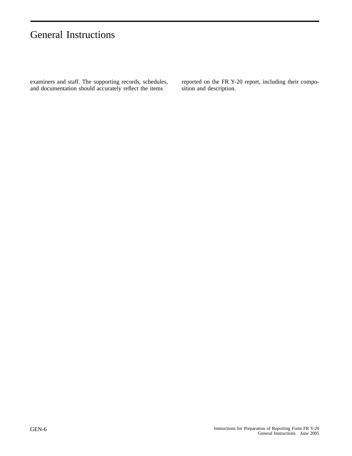examiners and staff. The supporting records, schedules, and documentation should accurately reflect the items

reported on the FR Y-20 report, including their composition and description.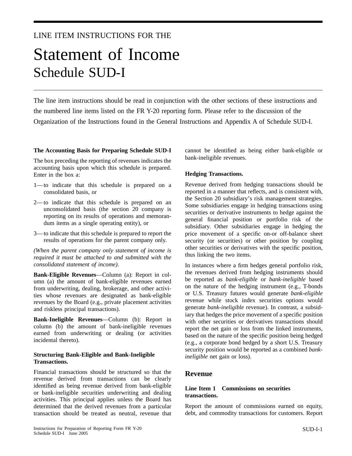# LINE ITEM INSTRUCTIONS FOR THE

# Statement of Income Schedule SUD-I

The line item instructions should be read in conjunction with the other sections of these instructions and the numbered line items listed on the FR Y-20 reporting form. Please refer to the discussion of the Organization of the Instructions found in the General Instructions and Appendix A of Schedule SUD-I.

#### **The Accounting Basis for Preparing Schedule SUD-I**

The box preceding the reporting of revenues indicates the accounting basis upon which this schedule is prepared. Enter in the box a:

- 1— to indicate that this schedule is prepared on a consolidated basis, or
- 2— to indicate that this schedule is prepared on an unconsolidated basis (the section 20 company is reporting on its results of operations and memorandum items as a single operating entity), or
- 3— to indicate that this schedule is prepared to report the results of operations for the parent company only.

*(When the parent company only statement of income is required it must be attached to and submitted with the consolidated statement of income).*

**Bank-Eligible Revenues**—Column (a): Report in column (a) the amount of bank-eligible revenues earned from underwriting, dealing, brokerage, and other activities whose revenues are designated as bank-eligible revenues by the Board (e.g., private placement activities and riskless principal transactions).

**Bank-Ineligible Revenues**—Column (b): Report in column (b) the amount of bank-ineligible revenues earned from underwriting or dealing (or activities incidental thereto).

#### **Structuring Bank-Eligible and Bank-Ineligible Transactions.**

Financial transactions should be structured so that the revenue derived from transactions can be clearly identified as being revenue derived from bank-eligible or bank-ineligible securities underwriting and dealing activities. This principal applies unless the Board has determined that the derived revenues from a particular transaction should be treated as neutral, revenue that cannot be identified as being either bank-eligible or bank-ineligible revenues.

#### **Hedging Transactions.**

Revenue derived from hedging transactions should be reported in a manner that reflects, and is consistent with, the Section 20 subsidiary's risk management strategies. Some subsidiaries engage in hedging transactions using securities or derivative instruments to hedge against the general financial position or portfolio risk of the subsidiary. Other subsidiaries engage in hedging the price movement of a specific on-or off-balance sheet security (or securities) or other position by coupling other securities or derivatives with the specific position, thus linking the two items.

In instances where a firm hedges general portfolio risk, the revenues derived from hedging instruments should be reported as *bank-eligible* or *bank-ineligible* based on the nature of the hedging instrument (e.g., T-bonds or U.S. Treasury futures would generate *bank-eligible* revenue while stock index securities options would generate *bank-ineligible* revenue). In contrast, a subsidiary that hedges the price movement of a specific position with other securities or derivatives transactions should report the net gain or loss from the linked instruments, based on the nature of the specific position being hedged (e.g., a corporate bond hedged by a short U.S. Treasury security position would be reported as a combined *bankineligible* net gain or loss).

#### **Revenue**

#### **Line Item 1 Commissions on securities transactions.**

Report the amount of commissions earned on equity, debt, and commodity transactions for customers. Report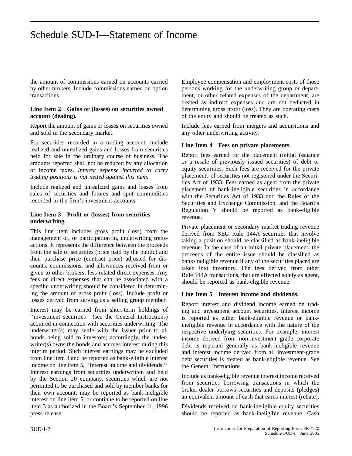the amount of commissions earned on accounts carried by other brokers. Include commissions earned on option transactions.

#### **Line Item 2 Gains or (losses) on securities owned account (dealing).**

Report the amount of gains or losses on securities owned and sold in the secondary market.

For securities recorded in a trading account, include realized and unrealized gains and losses from securities held for sale in the ordinary course of business. The amounts reported shall not be reduced by any allocation of income taxes. *Interest expense incurred to carry trading positions is not netted against this item.*

Include realized and unrealized gains and losses from sales of securities and futures and spot commodities recorded in the firm's investment accounts.

#### **Line Item 3 Profit or (losses) from securities underwriting.**

This line item includes gross profit (loss) from the management of, or participation in, underwriting transactions. It represents the difference between the proceeds from the sale of securities (price paid by the public) and their purchase price (contract price) adjusted for discounts, commissions, and allowances received from or given to other brokers, less related direct expenses. Any fees or direct expenses that can be associated with a specific underwriting should be considered in determining the amount of gross profit (loss). Include profit or losses derived from serving as a selling group member.

Interest may be earned from short-term holdings of ''investment securities'' (see the General Instructions) acquired in connection with securities underwriting. The underwriter(s) may settle with the issuer prior to all bonds being sold to investors; accordingly, the underwriter(s) owns the bonds and accrues interest during this interim period. Such interest earnings may be excluded from line item 3 and be reported as bank-eligible interest income on line item 5, ''interest income and dividends.'' Interest earnings from securities underwritten and held by the Section 20 company, securities which are not permitted to be purchased and sold by member banks for their own account, may be reported as bank-ineligible interest on line item 5, or continue to be reported on line item 3 as authorized in the Board's September 11, 1996 press release.

Employee compensation and employment costs of those persons working for the underwriting group or department, or other related expenses of the department, are treated as indirect expenses and are not deducted in determining gross profit (loss). They are operating costs of the entity and should be treated as such.

Include fees earned from mergers and acquisitions and any other underwriting activity.

#### **Line Item 4 Fees on private placements.**

Report fees earned for the placement (initial issuance or a resale of previously issued securities) of debt or equity securities. Such fees are received for the private placements of securities not registered under the Securities Act of 1933. Fees earned as agent from the private placement of bank-ineligible securities in accordance with the Securities Act of 1933 and the Rules of the Securities and Exchange Commission, and the Board's Regulation Y should be reported as bank-eligible revenue.

Private placement or secondary market trading revenue derived from SEC Rule 144A securities that involve taking a position should be classified as bank-ineligible revenue. In the case of an initial private placement, the proceeds of the entire issue should be classified as bank-ineligible revenue if any of the securities placed are taken into inventory. The fees derived from other Rule 144A transactions, that are effected solely as agent, should be reported as bank-eligible revenue.

#### **Line Item 5 Interest income and dividends.**

Report interest and dividend income earned on trading and investment account securities. Interest income is reported as either bank-eligible revenue or bankineligible revenue in accordance with the nature of the respective underlying securities. For example, interest income derived from non-investment grade corporate debt is reported generally as bank-ineligible revenue and interest income derived from all investment-grade debt securities is treated as bank-eligible revenue. See the General Instructions.

Include as bank-eligible revenue interest income received from securities borrowing transactions in which the broker-dealer borrows securities and deposits (pledges) an equivalent amount of cash that earns interest (rebate).

Dividends received on bank-ineligible equity securities should be reported as bank-ineligible revenue. Cash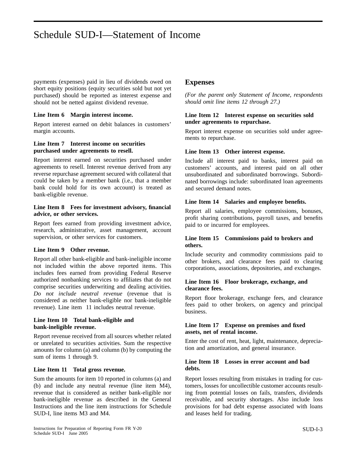payments (expenses) paid in lieu of dividends owed on short equity positions (equity securities sold but not yet purchased) should be reported as interest expense and should not be netted against dividend revenue.

#### **Line Item 6 Margin interest income.**

Report interest earned on debit balances in customers' margin accounts.

#### **Line Item 7 Interest income on securities purchased under agreements to resell.**

Report interest earned on securities purchased under agreements to resell. Interest revenue derived from any reverse repurchase agreement secured with collateral that could be taken by a member bank (i.e., that a member bank could hold for its own account) is treated as bank-eligible revenue.

#### **Line Item 8 Fees for investment advisory, financial advice, or other services.**

Report fees earned from providing investment advice, research, administrative, asset management, account supervision, or other services for customers.

#### **Line Item 9 Other revenue.**

Report all other bank-eligible and bank-ineligible income not included within the above reported items. This includes fees earned from providing Federal Reserve authorized nonbanking services to affiliates that do not comprise securities underwriting and dealing activities. *Do not include neutral revenue* (revenue that is considered as neither bank-eligible nor bank-ineligible revenue). Line item 11 includes neutral revenue.

#### **Line Item 10 Total bank-eligible and bank-ineligible revenue.**

Report revenue received from all sources whether related or unrelated to securities activities. Sum the respective amounts for column (a) and column (b) by computing the sum of items 1 through 9.

#### **Line Item 11 Total gross revenue.**

Sum the amounts for item 10 reported in columns (a) and (b) and include any neutral revenue (line item M4), revenue that is considered as neither bank-eligible nor bank-ineligible revenue as described in the General Instructions and the line item instructions for Schedule SUD-I, line items M3 and M4.

#### **Expenses**

*(For the parent only Statement of Income, respondents should omit line items 12 through 27.)*

#### **Line Item 12 Interest expense on securities sold under agreements to repurchase.**

Report interest expense on securities sold under agreements to repurchase.

#### **Line Item 13 Other interest expense.**

Include all interest paid to banks, interest paid on customers' accounts, and interest paid on all other unsubordinated and subordinated borrowings. Subordinated borrowings include: subordinated loan agreements and secured demand notes.

#### **Line Item 14 Salaries and employee benefits.**

Report all salaries, employee commissions, bonuses, profit sharing contributions, payroll taxes, and benefits paid to or incurred for employees.

#### **Line Item 15 Commissions paid to brokers and others.**

Include security and commodity commissions paid to other brokers, and clearance fees paid to clearing corporations, associations, depositories, and exchanges.

#### **Line Item 16 Floor brokerage, exchange, and clearance fees.**

Report floor brokerage, exchange fees, and clearance fees paid to other brokers, on agency and principal business.

#### **Line Item 17 Expense on premises and fixed assets, net of rental income.**

Enter the cost of rent, heat, light, maintenance, depreciation and amortization, and general insurance.

#### **Line Item 18 Losses in error account and bad debts.**

Report losses resulting from mistakes in trading for customers, losses for uncollectible customer accounts resulting from potential losses on fails, transfers, dividends receivable, and security shortages. Also include loss provisions for bad debt expense associated with loans and leases held for trading.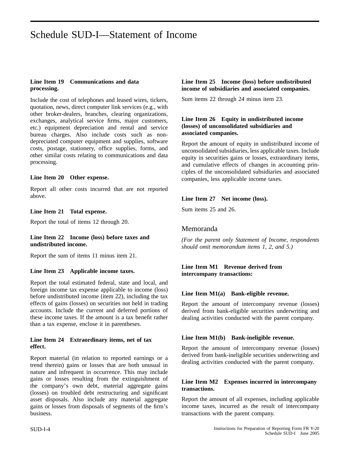#### **Line Item 19 Communications and data processing.**

Include the cost of telephones and leased wires, tickers, quotation, news, direct computer link services (e.g., with other broker-dealers, branches, clearing organizations, exchanges, analytical service firms, major customers, etc.) equipment depreciation and rental and service bureau charges. Also include costs such as nondepreciated computer equipment and supplies, software costs, postage, stationery, office supplies, forms, and other similar costs relating to communications and data processing.

#### **Line Item 20 Other expense.**

Report all other costs incurred that are not reported above.

#### **Line Item 21 Total expense.**

Report the total of items 12 through 20.

#### **Line Item 22 Income (loss) before taxes and undistributed income.**

Report the sum of items 11 minus item 21.

#### **Line Item 23 Applicable income taxes.**

Report the total estimated federal, state and local, and foreign income tax expense applicable to income (loss) before undistributed income (item 22), including the tax effects of gains (losses) on securities not held in trading accounts. Include the current and deferred portions of these income taxes. If the amount is a tax benefit rather than a tax expense, enclose it in parentheses.

#### **Line Item 24 Extraordinary items, net of tax effect.**

Report material (in relation to reported earnings or a trend therein) gains or losses that are both unusual in nature and infrequent in occurrence. This may include gains or losses resulting from the extinguishment of the company's own debt, material aggregate gains (losses) on troubled debt restructuring and significant asset disposals. Also include any material aggregate gains or losses from disposals of segments of the firm's business.

#### **Line Item 25 Income (loss) before undistributed income of subsidiaries and associated companies.**

Sum items 22 through 24 minus item 23.

#### **Line Item 26 Equity in undistributed income (losses) of unconsolidated subsidiaries and associated companies.**

Report the amount of equity in undistributed income of unconsolidated subsidiaries, less applicable taxes. Include equity in securities gains or losses, extraordinary items, and cumulative effects of changes in accounting principles of the unconsolidated subsidiaries and associated companies, less applicable income taxes.

#### **Line Item 27 Net income (loss).**

Sum items 25 and 26.

### Memoranda

*(For the parent only Statement of Income, respondents should omit memorandum items 1, 2, and 5.)*

#### **Line Item M1 Revenue derived from intercompany transactions:**

#### **Line Item M1(a) Bank-eligible revenue.**

Report the amount of intercompany revenue (losses) derived from bank-eligible securities underwriting and dealing activities conducted with the parent company.

#### **Line Item M1(b) Bank-ineligible revenue.**

Report the amount of intercompany revenue (losses) derived from bank-ineligible securities underwriting and dealing activities conducted with the parent company.

#### **Line Item M2 Expenses incurred in intercompany transactions.**

Report the amount of all expenses, including applicable income taxes, incurred as the result of intercompany transactions with the parent company.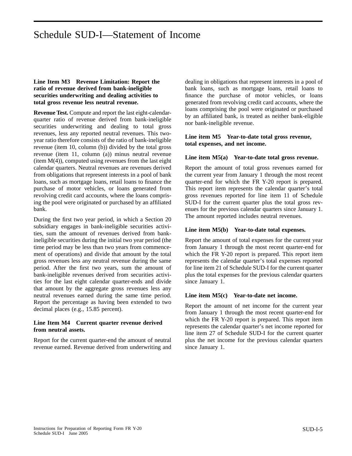#### **Line Item M3 Revenue Limitation: Report the ratio of revenue derived from bank-ineligible securities underwriting and dealing activities to total gross revenue less neutral revenue.**

**Revenue Test.** Compute and report the last eight-calendarquarter ratio of revenue derived from bank-ineligible securities underwriting and dealing to total gross revenues, less any reported neutral revenues. This twoyear ratio therefore consists of the ratio of bank-ineligible revenue (item 10, column (b)) divided by the total gross revenue (item 11, column (a)) minus neutral revenue  $(item M(4))$ , computed using revenues from the last eight calendar quarters. Neutral revenues are revenues derived from obligations that represent interests in a pool of bank loans, such as mortgage loans, retail loans to finance the purchase of motor vehicles, or loans generated from revolving credit card accounts, where the loans comprising the pool were originated or purchased by an affiliated bank.

During the first two year period, in which a Section 20 subsidiary engages in bank-ineligible securities activities, sum the amount of revenues derived from bankineligible securities during the initial two year period (the time period may be less than two years from commencement of operations) and divide that amount by the total gross revenues less any neutral revenue during the same period. After the first two years, sum the amount of bank-ineligible revenues derived from securities activities for the last eight calendar quarter-ends and divide that amount by the aggregate gross revenues less any neutral revenues earned during the same time period. Report the percentage as having been extended to two decimal places (e.g., 15.85 percent).

#### **Line Item M4 Current quarter revenue derived from neutral assets.**

Report for the current quarter-end the amount of neutral revenue earned. Revenue derived from underwriting and

dealing in obligations that represent interests in a pool of bank loans, such as mortgage loans, retail loans to finance the purchase of motor vehicles, or loans generated from revolving credit card accounts, where the loans comprising the pool were originated or purchased by an affiliated bank, is treated as neither bank-eligible nor bank-ineligible revenue.

#### **Line item M5 Year-to-date total gross revenue, total expenses, and net income.**

#### **Line item M5(a) Year-to-date total gross revenue.**

Report the amount of total gross revenues earned for the current year from January 1 through the most recent quarter-end for which the FR Y-20 report is prepared. This report item represents the calendar quarter's total gross revenues reported for line item 11 of Schedule SUD-I for the current quarter plus the total gross revenues for the previous calendar quarters since January 1. The amount reported includes neutral revenues.

#### **Line item M5(b) Year-to-date total expenses.**

Report the amount of total expenses for the current year from January 1 through the most recent quarter-end for which the FR Y-20 report is prepared. This report item represents the calendar quarter's total expenses reported for line item 21 of Schedule SUD-I for the current quarter plus the total expenses for the previous calendar quarters since January 1.

#### **Line item M5(c) Year-to-date net income.**

Report the amount of net income for the current year from January 1 through the most recent quarter-end for which the FR Y-20 report is prepared. This report item represents the calendar quarter's net income reported for line item 27 of Schedule SUD-I for the current quarter plus the net income for the previous calendar quarters since January 1.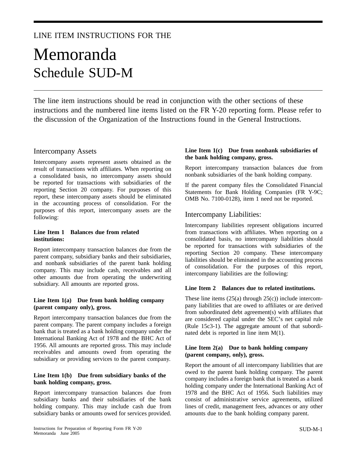# LINE ITEM INSTRUCTIONS FOR THE

# Memoranda Schedule SUD-M

The line item instructions should be read in conjunction with the other sections of these instructions and the numbered line items listed on the FR Y-20 reporting form. Please refer to the discussion of the Organization of the Instructions found in the General Instructions.

#### Intercompany Assets

Intercompany assets represent assets obtained as the result of transactions with affiliates. When reporting on a consolidated basis, no intercompany assets should be reported for transactions with subsidiaries of the reporting Section 20 company. For purposes of this report, these intercompany assets should be eliminated in the accounting process of consolidation. For the purposes of this report, intercompany assets are the following:

#### **Line Item 1 Balances due from related institutions:**

Report intercompany transaction balances due from the parent company, subsidiary banks and their subsidiaries, and nonbank subsidiaries of the parent bank holding company. This may include cash, receivables and all other amounts due from operating the underwriting subsidiary. All amounts are reported gross.

#### **Line Item 1(a) Due from bank holding company (parent company only), gross.**

Report intercompany transaction balances due from the parent company. The parent company includes a foreign bank that is treated as a bank holding company under the International Banking Act of 1978 and the BHC Act of 1956. All amounts are reported gross. This may include receivables and amounts owed from operating the subsidiary or providing services to the parent company.

#### **Line Item 1(b) Due from subsidiary banks of the bank holding company, gross.**

Report intercompany transaction balances due from subsidiary banks and their subsidiaries of the bank holding company. This may include cash due from subsidiary banks or amounts owed for services provided.

#### **Line Item 1(c) Due from nonbank subsidiaries of the bank holding company, gross.**

Report intercompany transaction balances due from nonbank subsidiaries of the bank holding company.

If the parent company files the Consolidated Financial Statements for Bank Holding Companies (FR Y-9C; OMB No. 7100-0128), item 1 need not be reported.

### Intercompany Liabilities:

Intercompany liabilities represent obligations incurred from transactions with affiliates. When reporting on a consolidated basis, no intercompany liabilities should be reported for transactions with subsidiaries of the reporting Section 20 company. These intercompany liabilities should be eliminated in the accounting process of consolidation. For the purposes of this report, intercompany liabilities are the following:

#### **Line Item 2 Balances due to related institutions.**

These line items  $(25(a)$  through  $25(c)$ ) include intercompany liabilities that are owed to affiliates or are derived from subordinated debt agreement(s) with affiliates that are considered capital under the SEC's net capital rule (Rule 15c3-1). The aggregate amount of that subordinated debt is reported in line item M(1).

#### **Line Item 2(a) Due to bank holding company (parent company, only), gross.**

Report the amount of all intercompany liabilities that are owed to the parent bank holding company. The parent company includes a foreign bank that is treated as a bank holding company under the International Banking Act of 1978 and the BHC Act of 1956. Such liabilities may consist of administrative service agreements, utilized lines of credit, management fees, advances or any other amounts due to the bank holding company parent.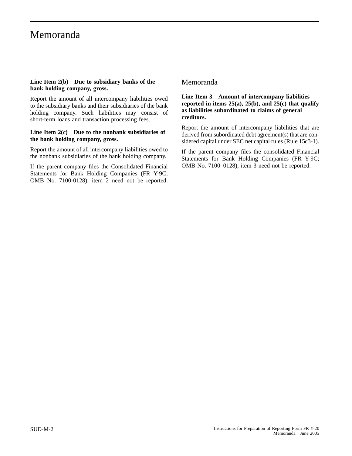# Memoranda

#### **Line Item 2(b) Due to subsidiary banks of the bank holding company, gross.**

Report the amount of all intercompany liabilities owed to the subsidiary banks and their subsidiaries of the bank holding company. Such liabilities may consist of short-term loans and transaction processing fees.

#### **Line Item 2(c) Due to the nonbank subsidiaries of the bank holding company, gross.**

Report the amount of all intercompany liabilities owed to the nonbank subsidiaries of the bank holding company.

If the parent company files the Consolidated Financial Statements for Bank Holding Companies (FR Y-9C; OMB No. 7100-0128), item 2 need not be reported.

### Memoranda

#### **Line Item 3 Amount of intercompany liabilities reported in items 25(a), 25(b), and 25(c) that qualify as liabilities subordinated to claims of general creditors.**

Report the amount of intercompany liabilities that are derived from subordinated debt agreement(s) that are considered capital under SEC net capital rules (Rule 15c3-1).

If the parent company files the consolidated Financial Statements for Bank Holding Companies (FR Y-9C; OMB No. 7100–0128), item 3 need not be reported.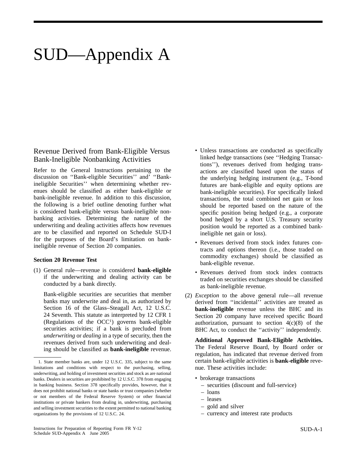# SUD—Appendix A

### Revenue Derived from Bank-Eligible Versus Bank-Ineligible Nonbanking Activities

Refer to the General Instructions pertaining to the discussion on ''Bank-eligible Securities'' and' ''Bankineligible Securities'' when determining whether revenues should be classified as either bank-eligible or bank-ineligible revenue. In addition to this discussion, the following is a brief outline denoting further what is considered bank-eligible versus bank-ineligible nonbanking activities. Determining the nature of the underwriting and dealing activities affects how revenues are to be classified and reported on Schedule SUD-I for the purposes of the Board's limitation on bankineligible revenue of Section 20 companies.

#### **Section 20 Revenue Test**

(1) General rule—revenue is considered **bank-eligible** if the underwriting and dealing activity can be conducted by a bank directly.

Bank-eligible securities are securities that member banks may underwrite and deal in, as authorized by Section 16 of the Glass–Steagall Act, 12 U.S.C. 24 Seventh. This statute as interpreted by 12 CFR 1 (Regulations of the  $OCC<sup>1</sup>$ ) governs bank-eligible securities activities; if a bank is precluded from *underwriting* or *dealing* in a type of security, then the revenues derived from such underwriting and dealing should be classified as **bank-ineligible** revenue.

- Unless transactions are conducted as specifically linked hedge transactions (see ''Hedging Transactions''), revenues derived from hedging transactions are classified based upon the status of the underlying hedging instrument (e.g., T-bond futures are bank-eligible and equity options are bank-ineligible securities). For specifically linked transactions, the total combined net gain or loss should be reported based on the nature of the specific position being hedged (e.g., a corporate bond hedged by a short U.S. Treasury security position would be reported as a combined bankineligible net gain or loss).
- Revenues derived from stock index futures contracts and options thereon (i.e., those traded on commodity exchanges) should be classified as bank-eligible revenue.
- Revenues derived from stock index contracts traded on securities exchanges should be classified as bank-ineligible revenue.
- (2) *Exception* to the above general rule—all revenue derived from ''incidental'' activities are treated as **bank-ineligible** revenue unless the BHC and its Section 20 company have received specific Board authorization, pursuant to section  $4(c)(8)$  of the BHC Act, to conduct the ''activity'' independently.

**Additional Approved Bank-Eligible Activities.** The Federal Reserve Board, by Board order or regulation, has indicated that revenue derived from certain bank-eligible activities is **bank-eligible** revenue. These activities include:

- brokerage transactions
	- securities (discount and full-service)
	- loans
	- leases
	- gold and silver
	- currency and interest rate products

<sup>1.</sup> State member banks are, under 12 U.S.C. 335, subject to the same limitations and conditions with respect to the purchasing, selling, underwriting, and holding of investment securities and stock as are national banks. Dealers in securities are prohibited by 12 U.S.C. 378 from engaging in banking business. Section 378 specifically provides, however, that it does not prohibit national banks or state banks or trust companies (whether or not members of the Federal Reserve System) or other financial institutions or private bankers from dealing in, underwriting, purchasing and selling investment securities to the extent permitted to national banking organizations by the provisions of 12 U.S.C. 24.